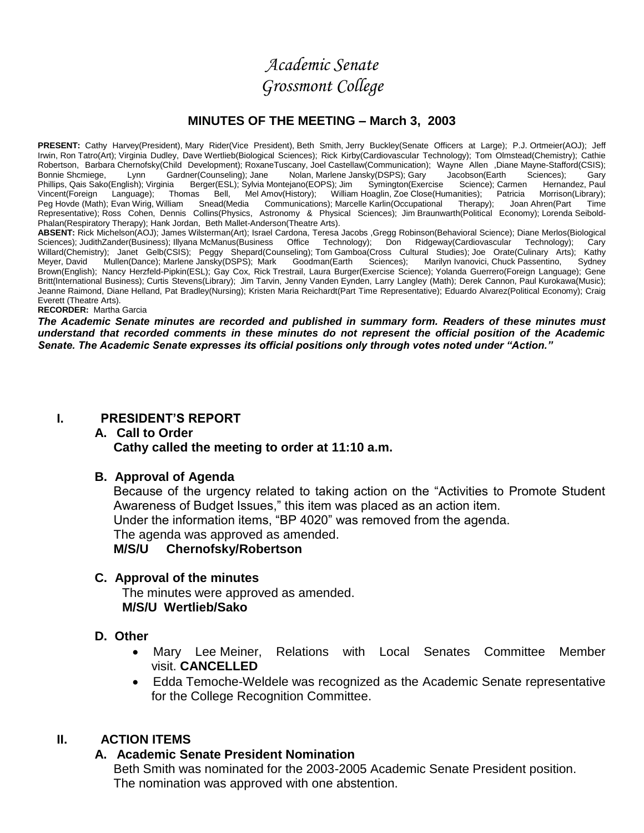*Academic Senate Grossmont College*

### **MINUTES OF THE MEETING – March 3, 2003**

**PRESENT:** Cathy Harvey(President), Mary Rider(Vice President), Beth Smith, Jerry Buckley(Senate Officers at Large); P.J. Ortmeier(AOJ); Jeff Irwin, Ron Tatro(Art); Virginia Dudley, Dave Wertlieb(Biological Sciences); Rick Kirby(Cardiovascular Technology); Tom Olmstead(Chemistry); Cathie Robertson, Barbara Chernofsky(Child Development); RoxaneTuscany, Joel Castellaw(Communication); Wayne Allen ,Diane Mayne-Stafford(CSIS);<br>Bonnie Shcmiege, Lynn Gardner(Counseling); Jane Nolan, Marlene Jansky(DSPS); Gary Jac Bonnie Shcmiege, Lynn Gardner(Counseling); Jane Nolan, Marlene Jansky(DSPS); Gary Jacobson(Earth Sciences); Gary<br>Phillips, Qais Sako(English); Virginia Berger(ESL); Sylvia Montejano(EOPS); Jim Symington(Exercise Science); Berger(ESL); Sylvia Montejano(EOPS); Jim Vincent(Foreign Language); Thomas Bell, Mel-Amov(History); William-Hoaglin, Zoe-Close(Humanities); Patricia Morrison(Library);<br>Peg-Hovde-(Math); Evan-Wirig, William Snead(Media Communications); Marcelle-Karlin(Occupational Communications); Marcelle Karlin(Occupational Therapy); Joan Ahren(Part Time Representative); Ross Cohen, Dennis Collins(Physics, Astronomy & Physical Sciences); Jim Braunwarth(Political Economy); Lorenda Seibold-Phalan(Respiratory Therapy); Hank Jordan, Beth Mallet-Anderson(Theatre Arts).

**ABSENT:** Rick Michelson(AOJ); James Wilsterman(Art); Israel Cardona, Teresa Jacobs ,Gregg Robinson(Behavioral Science); Diane Merlos(Biological Sciences); JudithZander(Business); Illyana McManus(Business Office Technology); Don Ridgeway(Cardiovascular Technology); Cary Willard(Chemistry); Janet Gelb(CSIS); Peggy Shepard(Counseling); Tom Gamboa(Cross Cultural Studies); Joe Orate(Culinary Arts); Kathy Meyer, David Mullen(Dance); Marlene Jansky(DSPS); Mark Goodman(Earth Sciences); Marilyn Ivanovici, Chuck Passentino, Sydney Brown(English); Nancy Herzfeld-Pipkin(ESL); Gay Cox, Rick Trestrail, Laura Burger(Exercise Science); Yolanda Guerrero(Foreign Language); Gene Britt(International Business); Curtis Stevens(Library); Jim Tarvin, Jenny Vanden Eynden, Larry Langley (Math); Derek Cannon, Paul Kurokawa(Music); Jeanne Raimond, Diane Helland, Pat Bradley(Nursing); Kristen Maria Reichardt(Part Time Representative); Eduardo Alvarez(Political Economy); Craig Everett (Theatre Arts).

**RECORDER:** Martha Garcia

*The Academic Senate minutes are recorded and published in summary form. Readers of these minutes must understand that recorded comments in these minutes do not represent the official position of the Academic Senate. The Academic Senate expresses its official positions only through votes noted under "Action."*

### **I. PRESIDENT'S REPORT**

### **A. Call to Order Cathy called the meeting to order at 11:10 a.m.**

### **B. Approval of Agenda**

Because of the urgency related to taking action on the "Activities to Promote Student Awareness of Budget Issues," this item was placed as an action item. Under the information items, "BP 4020" was removed from the agenda. The agenda was approved as amended.

### **M/S/U Chernofsky/Robertson**

### **C. Approval of the minutes**

 The minutes were approved as amended. **M/S/U Wertlieb/Sako**

### **D. Other**

- Mary Lee Meiner, Relations with Local Senates Committee Member visit. **CANCELLED**
- Edda Temoche-Weldele was recognized as the Academic Senate representative for the College Recognition Committee.

### **II. ACTION ITEMS**

### **A. Academic Senate President Nomination**

Beth Smith was nominated for the 2003-2005 Academic Senate President position. The nomination was approved with one abstention.